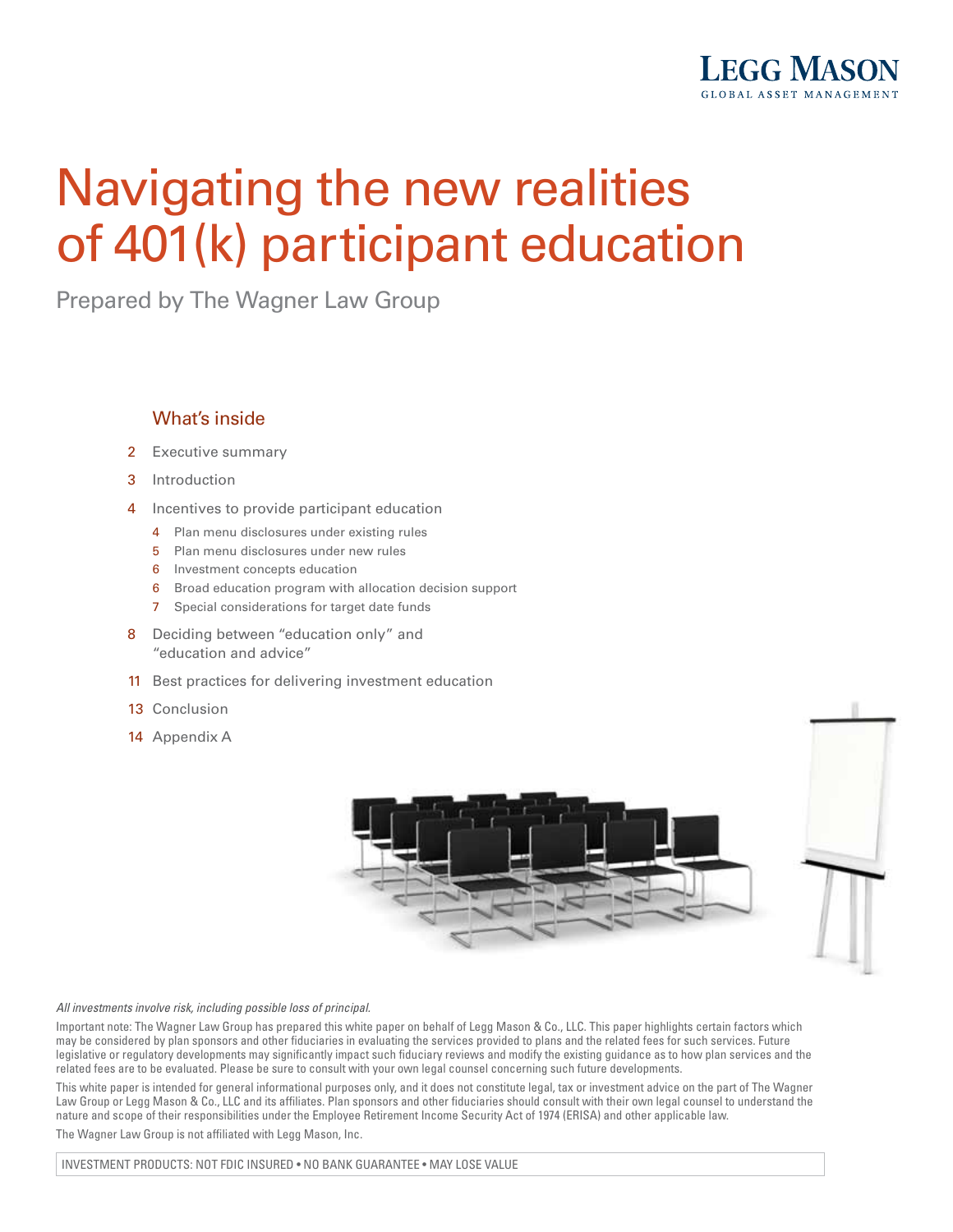

# Navigating the new realities of 401(k) participant education

Prepared by The Wagner Law Group

#### What's inside

- 2 Executive summary
- 3 Introduction
- 4 Incentives to provide participant education
	- 4 Plan menu disclosures under existing rules
	- 5 Plan menu disclosures under new rules
	- 6 Investment concepts education
	- 6 Broad education program with allocation decision support
	- 7 Special considerations for target date funds
- 8 Deciding between "education only" and "education and advice"
- 11 Best practices for delivering investment education
- 13 Conclusion
- 14 Appendix A





#### *All investments involve risk, including possible loss of principal.*

Important note: The Wagner Law Group has prepared this white paper on behalf of Legg Mason & Co., LLC. This paper highlights certain factors which may be considered by plan sponsors and other fiduciaries in evaluating the services provided to plans and the related fees for such services. Future legislative or regulatory developments may significantly impact such fiduciary reviews and modify the existing guidance as to how plan services and the related fees are to be evaluated. Please be sure to consult with your own legal counsel concerning such future developments.

This white paper is intended for general informational purposes only, and it does not constitute legal, tax or investment advice on the part of The Wagner Law Group or Legg Mason & Co., LLC and its affiliates. Plan sponsors and other fiduciaries should consult with their own legal counsel to understand the nature and scope of their responsibilities under the Employee Retirement Income Security Act of 1974 (ERISA) and other applicable law.

The Wagner Law Group is not affiliated with Legg Mason, Inc.

INVESTMENT PRODUCTS: NOT FDIC INSURED • NO BANK GUARANTEE • MAY LOSE VALUE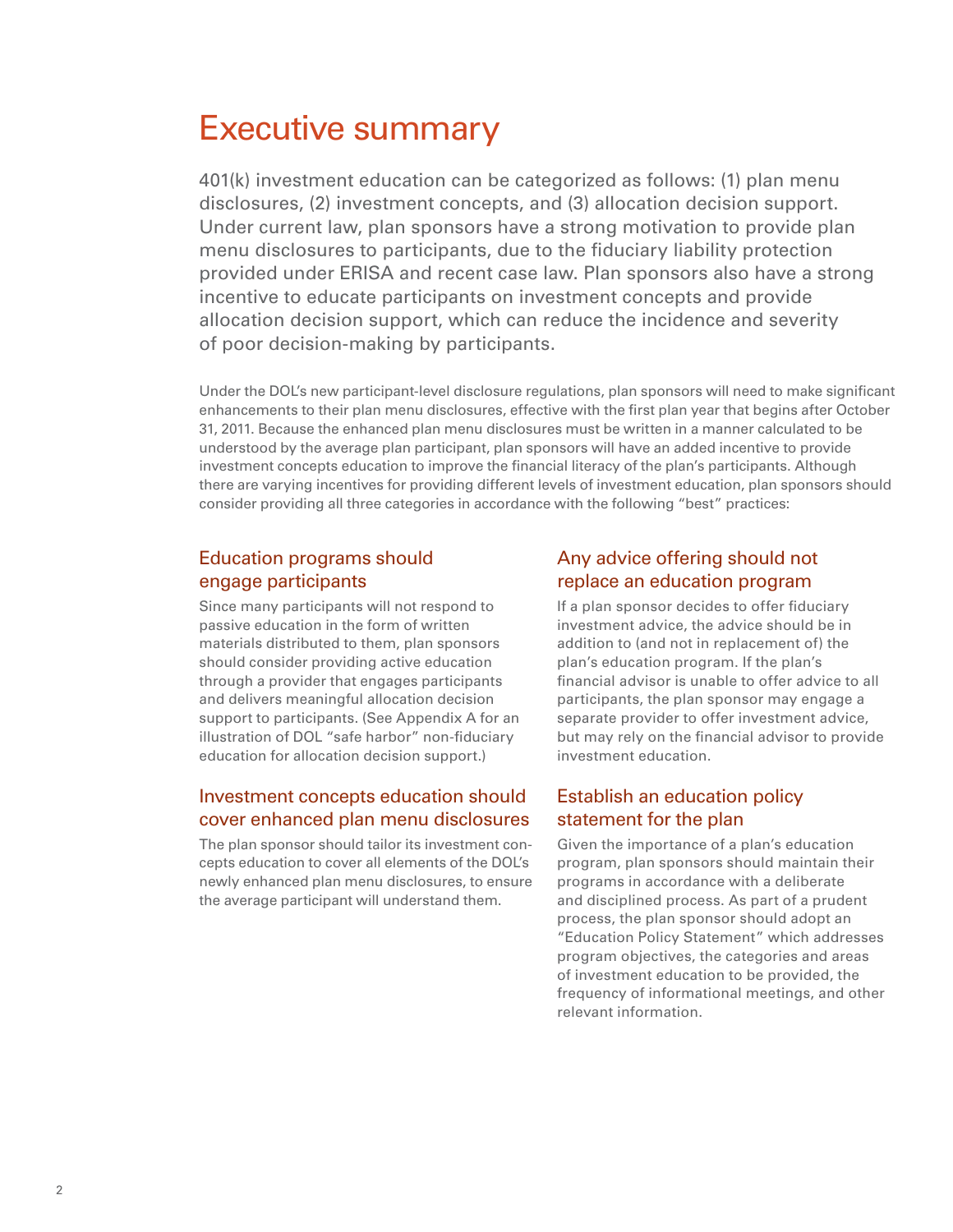# Executive summary

401(k) investment education can be categorized as follows: (1) plan menu disclosures, (2) investment concepts, and (3) allocation decision support. Under current law, plan sponsors have a strong motivation to provide plan menu disclosures to participants, due to the fiduciary liability protection provided under ERISA and recent case law. Plan sponsors also have a strong incentive to educate participants on investment concepts and provide allocation decision support, which can reduce the incidence and severity of poor decision-making by participants.

Under the DOL's new participant-level disclosure regulations, plan sponsors will need to make significant enhancements to their plan menu disclosures, effective with the first plan year that begins after October 31, 2011. Because the enhanced plan menu disclosures must be written in a manner calculated to be understood by the average plan participant, plan sponsors will have an added incentive to provide investment concepts education to improve the financial literacy of the plan's participants. Although there are varying incentives for providing different levels of investment education, plan sponsors should consider providing all three categories in accordance with the following "best" practices:

#### Education programs should engage participants

Since many participants will not respond to passive education in the form of written materials distributed to them, plan sponsors should consider providing active education through a provider that engages participants and delivers meaningful allocation decision support to participants. (See Appendix A for an illustration of DOL "safe harbor" non-fiduciary education for allocation decision support.)

#### Investment concepts education should cover enhanced plan menu disclosures

The plan sponsor should tailor its investment concepts education to cover all elements of the DOL's newly enhanced plan menu disclosures, to ensure the average participant will understand them.

#### Any advice offering should not replace an education program

If a plan sponsor decides to offer fiduciary investment advice, the advice should be in addition to (and not in replacement of) the plan's education program. If the plan's financial advisor is unable to offer advice to all participants, the plan sponsor may engage a separate provider to offer investment advice, but may rely on the financial advisor to provide investment education.

#### Establish an education policy statement for the plan

Given the importance of a plan's education program, plan sponsors should maintain their programs in accordance with a deliberate and disciplined process. As part of a prudent process, the plan sponsor should adopt an "Education Policy Statement" which addresses program objectives, the categories and areas of investment education to be provided, the frequency of informational meetings, and other relevant information.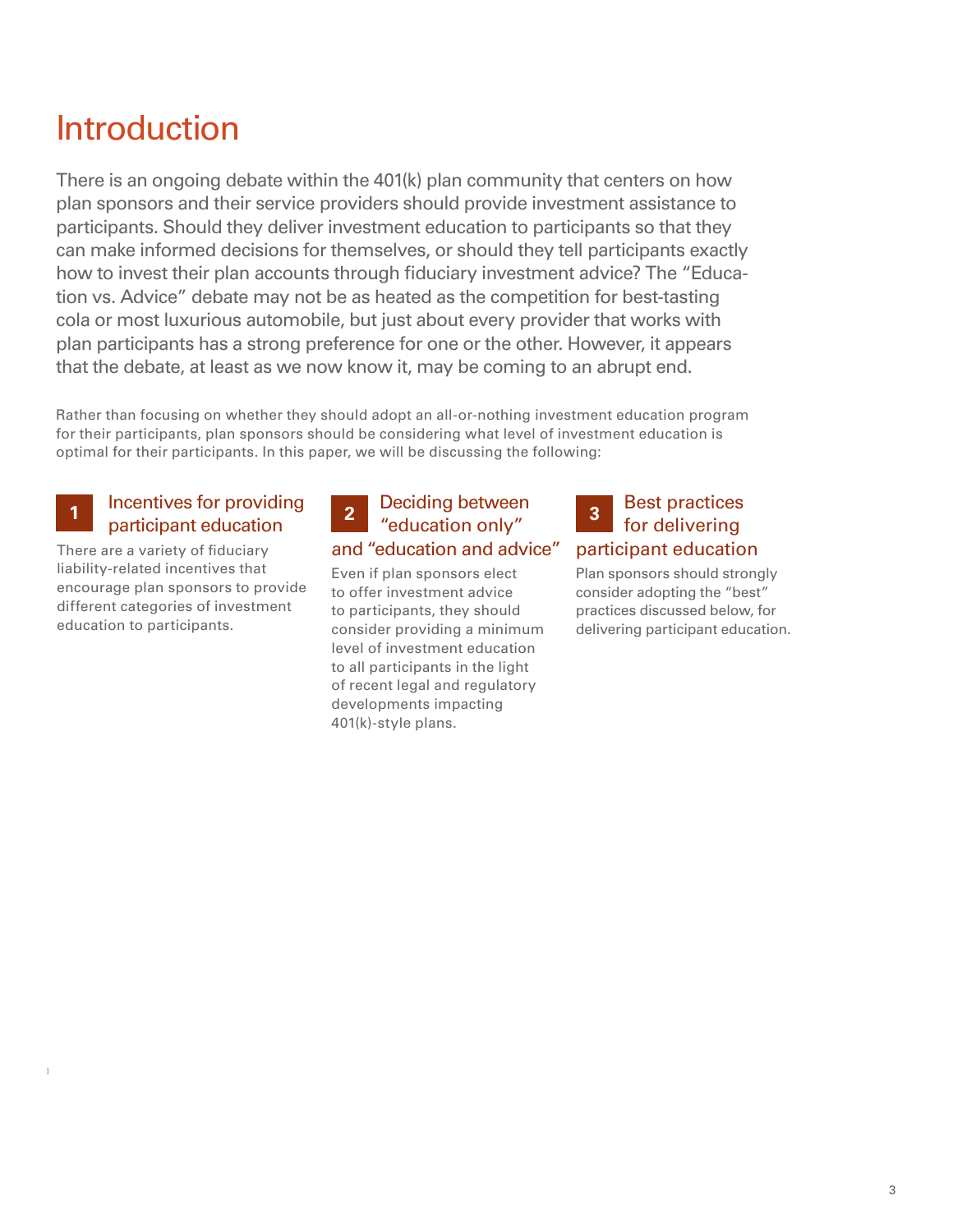# Introduction

There is an ongoing debate within the 401(k) plan community that centers on how plan sponsors and their service providers should provide investment assistance to participants. Should they deliver investment education to participants so that they can make informed decisions for themselves, or should they tell participants exactly how to invest their plan accounts through fiduciary investment advice? The "Education vs. Advice" debate may not be as heated as the competition for best-tasting cola or most luxurious automobile, but just about every provider that works with plan participants has a strong preference for one or the other. However, it appears that the debate, at least as we now know it, may be coming to an abrupt end.

Rather than focusing on whether they should adopt an all-or-nothing investment education program for their participants, plan sponsors should be considering what level of investment education is optimal for their participants. In this paper, we will be discussing the following:

### **1** Incentives for providing **2** Deciding between **3** participant education

There are a variety of fiduciary liability-related incentives that encourage plan sponsors to provide different categories of investment education to participants.

### "education only" and "education and advice" **2**

Even if plan sponsors elect to offer investment advice to participants, they should consider providing a minimum level of investment education to all participants in the light of recent legal and regulatory developments impacting 401(k)-style plans.

### Best practices for delivering participant education

Plan sponsors should strongly consider adopting the "best" practices discussed below, for delivering participant education.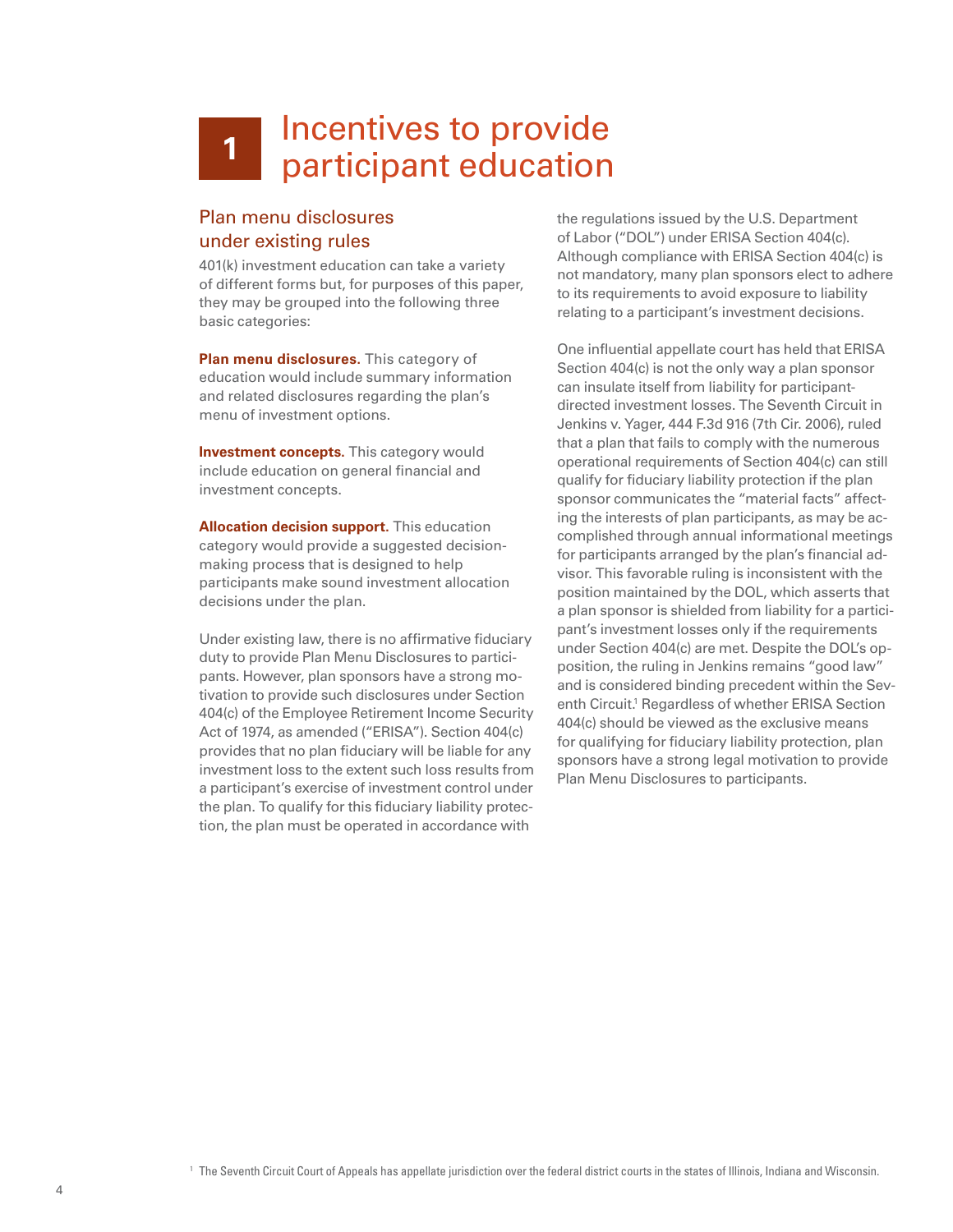## Incentives to provide participant education **1**

#### Plan menu disclosures under existing rules

401(k) investment education can take a variety of different forms but, for purposes of this paper, they may be grouped into the following three basic categories:

**Plan menu disclosures.** This category of education would include summary information and related disclosures regarding the plan's menu of investment options.

**Investment concepts.** This category would include education on general financial and investment concepts.

**Allocation decision support.** This education category would provide a suggested decisionmaking process that is designed to help participants make sound investment allocation decisions under the plan.

Under existing law, there is no affirmative fiduciary duty to provide Plan Menu Disclosures to participants. However, plan sponsors have a strong motivation to provide such disclosures under Section 404(c) of the Employee Retirement Income Security Act of 1974, as amended ("ERISA"). Section 404(c) provides that no plan fiduciary will be liable for any investment loss to the extent such loss results from a participant's exercise of investment control under the plan. To qualify for this fiduciary liability protection, the plan must be operated in accordance with

the regulations issued by the U.S. Department of Labor ("DOL") under ERISA Section 404(c). Although compliance with ERISA Section 404(c) is not mandatory, many plan sponsors elect to adhere to its requirements to avoid exposure to liability relating to a participant's investment decisions.

One influential appellate court has held that ERISA Section 404(c) is not the only way a plan sponsor can insulate itself from liability for participantdirected investment losses. The Seventh Circuit in Jenkins v. Yager, 444 F.3d 916 (7th Cir. 2006), ruled that a plan that fails to comply with the numerous operational requirements of Section 404(c) can still qualify for fiduciary liability protection if the plan sponsor communicates the "material facts" affecting the interests of plan participants, as may be accomplished through annual informational meetings for participants arranged by the plan's financial advisor. This favorable ruling is inconsistent with the position maintained by the DOL, which asserts that a plan sponsor is shielded from liability for a participant's investment losses only if the requirements under Section 404(c) are met. Despite the DOL's opposition, the ruling in Jenkins remains "good law" and is considered binding precedent within the Seventh Circuit.<sup>1</sup> Regardless of whether ERISA Section 404(c) should be viewed as the exclusive means for qualifying for fiduciary liability protection, plan sponsors have a strong legal motivation to provide Plan Menu Disclosures to participants.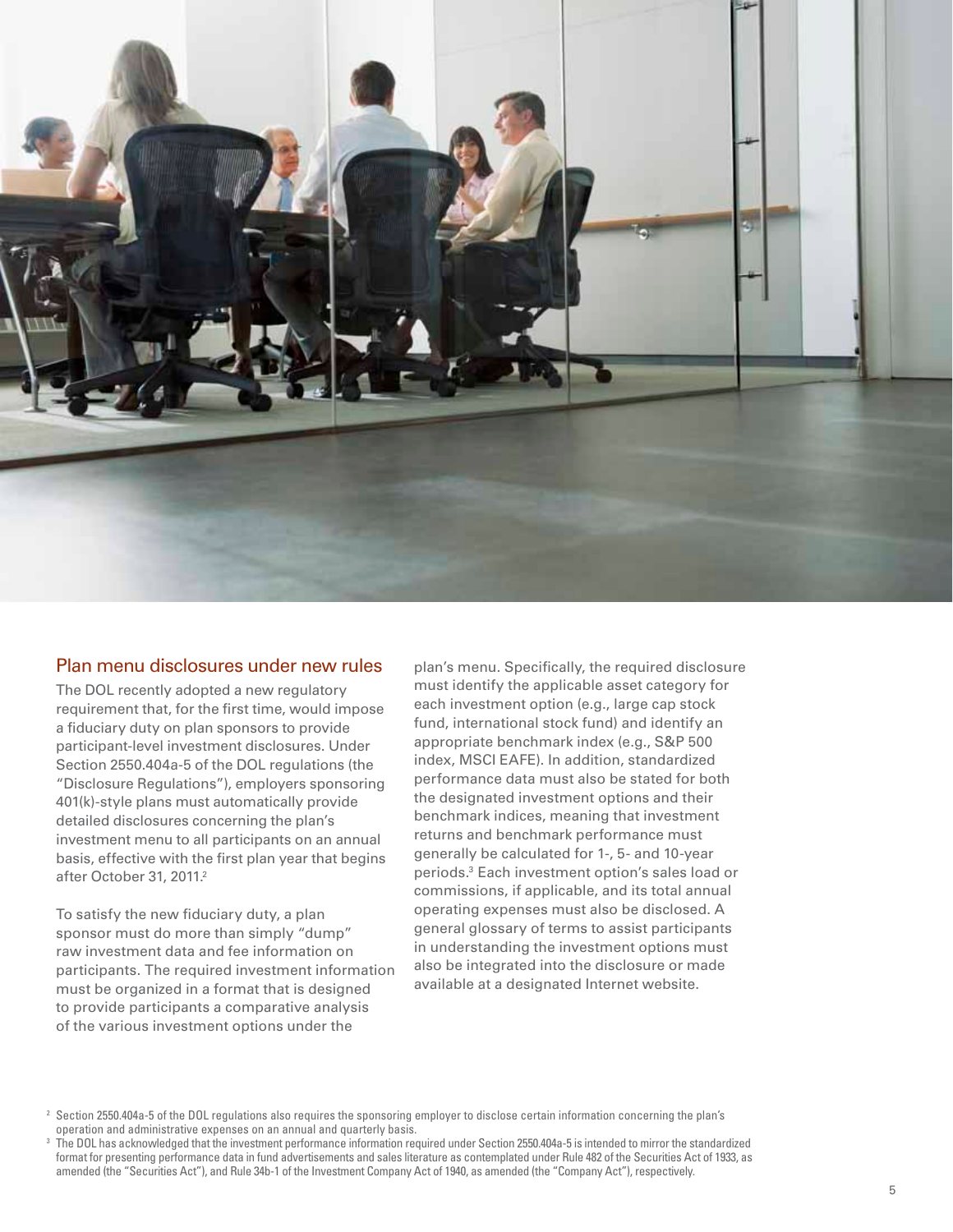

#### Plan menu disclosures under new rules

The DOL recently adopted a new regulatory requirement that, for the first time, would impose a fiduciary duty on plan sponsors to provide participant-level investment disclosures. Under Section 2550.404a-5 of the DOL regulations (the "Disclosure Regulations"), employers sponsoring 401(k)-style plans must automatically provide detailed disclosures concerning the plan's investment menu to all participants on an annual basis, effective with the first plan year that begins after October 31, 2011.<sup>2</sup>

To satisfy the new fiduciary duty, a plan sponsor must do more than simply "dump" raw investment data and fee information on participants. The required investment information must be organized in a format that is designed to provide participants a comparative analysis of the various investment options under the

plan's menu. Specifically, the required disclosure must identify the applicable asset category for each investment option (e.g., large cap stock fund, international stock fund) and identify an appropriate benchmark index (e.g., S&P 500 index, MSCI EAFE). In addition, standardized performance data must also be stated for both the designated investment options and their benchmark indices, meaning that investment returns and benchmark performance must generally be calculated for 1-, 5- and 10-year periods.3 Each investment option's sales load or commissions, if applicable, and its total annual operating expenses must also be disclosed. A general glossary of terms to assist participants in understanding the investment options must also be integrated into the disclosure or made available at a designated Internet website.

<sup>&</sup>lt;sup>2</sup> Section 2550.404a-5 of the DOL regulations also requires the sponsoring employer to disclose certain information concerning the plan's operation and administrative expenses on an annual and quarterly basis.

<sup>3</sup> The DOL has acknowledged that the investment performance information required under Section 2550.404a-5 is intended to mirror the standardized format for presenting performance data in fund advertisements and sales literature as contemplated under Rule 482 of the Securities Act of 1933, as amended (the "Securities Act"), and Rule 34b-1 of the Investment Company Act of 1940, as amended (the "Company Act"), respectively.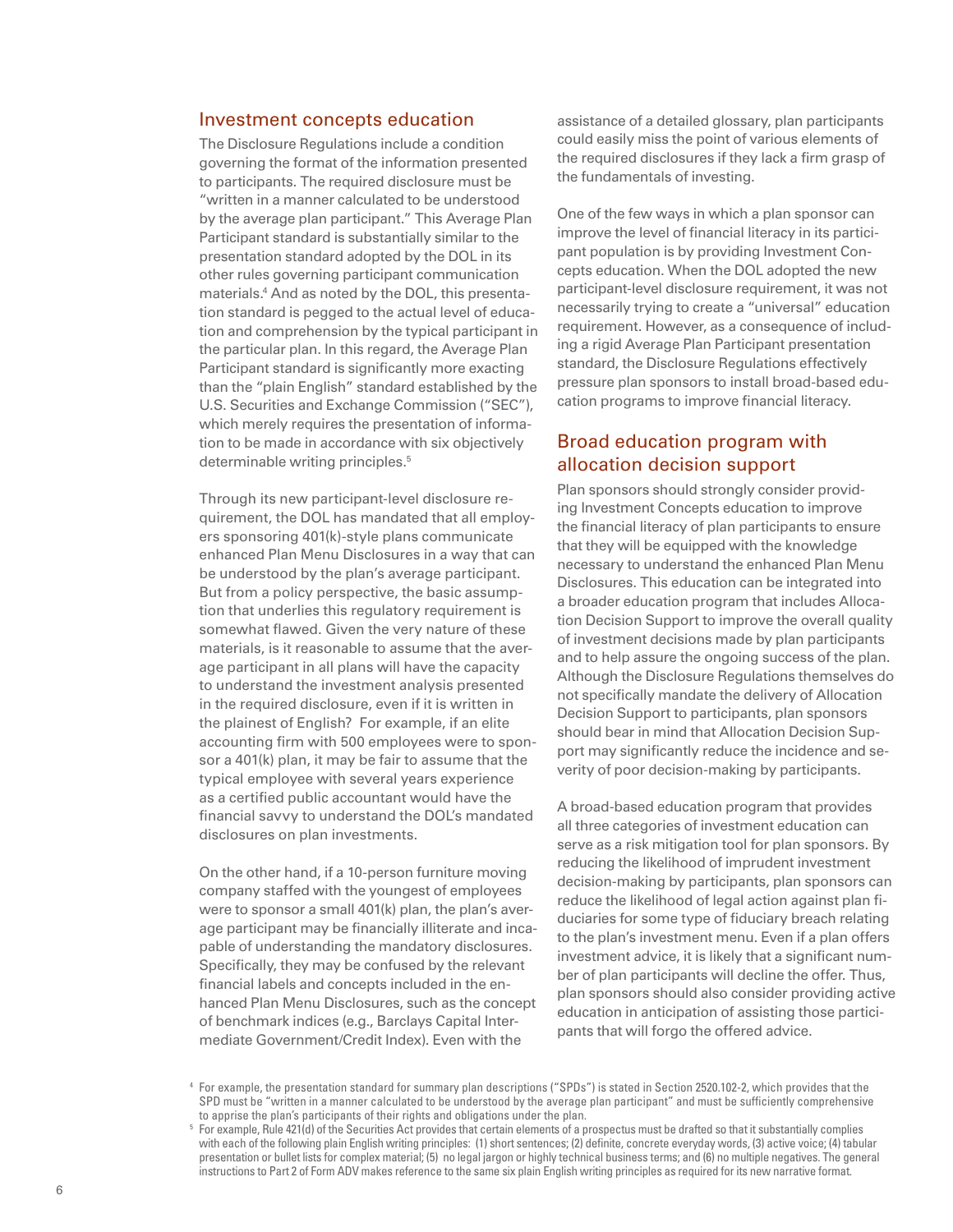#### Investment concepts education

The Disclosure Regulations include a condition governing the format of the information presented to participants. The required disclosure must be "written in a manner calculated to be understood by the average plan participant." This Average Plan Participant standard is substantially similar to the presentation standard adopted by the DOL in its other rules governing participant communication materials.4 And as noted by the DOL, this presentation standard is pegged to the actual level of education and comprehension by the typical participant in the particular plan. In this regard, the Average Plan Participant standard is significantly more exacting than the "plain English" standard established by the U.S. Securities and Exchange Commission ("SEC"), which merely requires the presentation of information to be made in accordance with six objectively determinable writing principles.<sup>5</sup>

Through its new participant-level disclosure requirement, the DOL has mandated that all employers sponsoring 401(k)-style plans communicate enhanced Plan Menu Disclosures in a way that can be understood by the plan's average participant. But from a policy perspective, the basic assumption that underlies this regulatory requirement is somewhat flawed. Given the very nature of these materials, is it reasonable to assume that the average participant in all plans will have the capacity to understand the investment analysis presented in the required disclosure, even if it is written in the plainest of English? For example, if an elite accounting firm with 500 employees were to sponsor a 401(k) plan, it may be fair to assume that the typical employee with several years experience as a certified public accountant would have the financial savvy to understand the DOL's mandated disclosures on plan investments.

On the other hand, if a 10-person furniture moving company staffed with the youngest of employees were to sponsor a small 401(k) plan, the plan's average participant may be financially illiterate and incapable of understanding the mandatory disclosures. Specifically, they may be confused by the relevant financial labels and concepts included in the enhanced Plan Menu Disclosures, such as the concept of benchmark indices (e.g., Barclays Capital Intermediate Government/Credit Index). Even with the

assistance of a detailed glossary, plan participants could easily miss the point of various elements of the required disclosures if they lack a firm grasp of the fundamentals of investing.

One of the few ways in which a plan sponsor can improve the level of financial literacy in its participant population is by providing Investment Concepts education. When the DOL adopted the new participant-level disclosure requirement, it was not necessarily trying to create a "universal" education requirement. However, as a consequence of including a rigid Average Plan Participant presentation standard, the Disclosure Regulations effectively pressure plan sponsors to install broad-based education programs to improve financial literacy.

#### Broad education program with allocation decision support

Plan sponsors should strongly consider providing Investment Concepts education to improve the financial literacy of plan participants to ensure that they will be equipped with the knowledge necessary to understand the enhanced Plan Menu Disclosures. This education can be integrated into a broader education program that includes Allocation Decision Support to improve the overall quality of investment decisions made by plan participants and to help assure the ongoing success of the plan. Although the Disclosure Regulations themselves do not specifically mandate the delivery of Allocation Decision Support to participants, plan sponsors should bear in mind that Allocation Decision Support may significantly reduce the incidence and severity of poor decision-making by participants.

A broad-based education program that provides all three categories of investment education can serve as a risk mitigation tool for plan sponsors. By reducing the likelihood of imprudent investment decision-making by participants, plan sponsors can reduce the likelihood of legal action against plan fiduciaries for some type of fiduciary breach relating to the plan's investment menu. Even if a plan offers investment advice, it is likely that a significant number of plan participants will decline the offer. Thus, plan sponsors should also consider providing active education in anticipation of assisting those participants that will forgo the offered advice.

<sup>4</sup> For example, the presentation standard for summary plan descriptions ("SPDs") is stated in Section 2520.102-2, which provides that the SPD must be "written in a manner calculated to be understood by the average plan participant" and must be sufficiently comprehensive to apprise the plan's participants of their rights and obligations under the plan.

<sup>5</sup> For example, Rule 421(d) of the Securities Act provides that certain elements of a prospectus must be drafted so that it substantially complies with each of the following plain English writing principles: (1) short sentences; (2) definite, concrete everyday words, (3) active voice; (4) tabular presentation or bullet lists for complex material; (5) no legal jargon or highly technical business terms; and (6) no multiple negatives. The general instructions to Part 2 of Form ADV makes reference to the same six plain English writing principles as required for its new narrative format.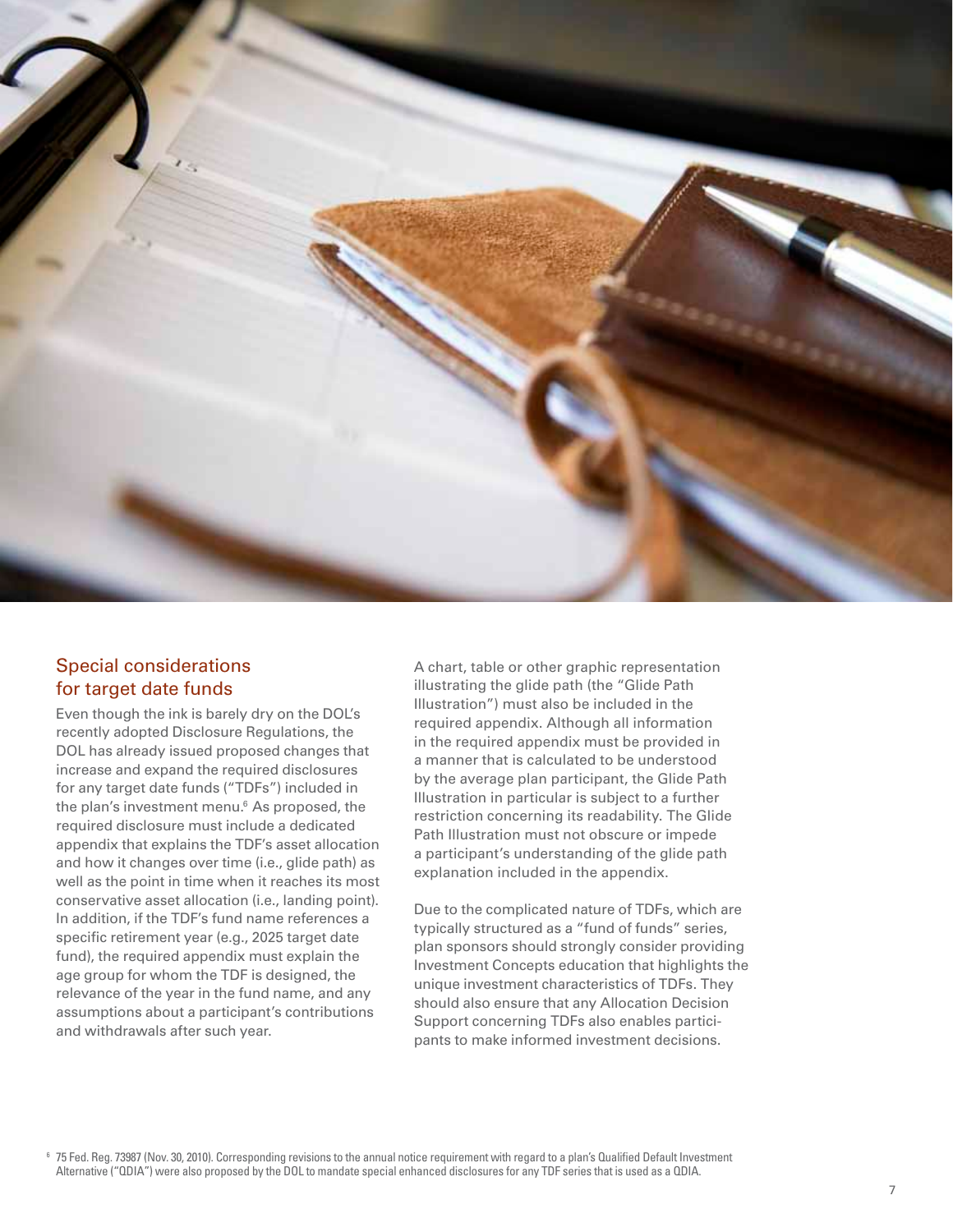

### Special considerations for target date funds

Even though the ink is barely dry on the DOL's recently adopted Disclosure Regulations, the DOL has already issued proposed changes that increase and expand the required disclosures for any target date funds ("TDFs") included in the plan's investment menu.6 As proposed, the required disclosure must include a dedicated appendix that explains the TDF's asset allocation and how it changes over time (i.e., glide path) as well as the point in time when it reaches its most conservative asset allocation (i.e., landing point). In addition, if the TDF's fund name references a specific retirement year (e.g., 2025 target date fund), the required appendix must explain the age group for whom the TDF is designed, the relevance of the year in the fund name, and any assumptions about a participant's contributions and withdrawals after such year.

A chart, table or other graphic representation illustrating the glide path (the "Glide Path Illustration") must also be included in the required appendix. Although all information in the required appendix must be provided in a manner that is calculated to be understood by the average plan participant, the Glide Path Illustration in particular is subject to a further restriction concerning its readability. The Glide Path Illustration must not obscure or impede a participant's understanding of the glide path explanation included in the appendix.

Due to the complicated nature of TDFs, which are typically structured as a "fund of funds" series, plan sponsors should strongly consider providing Investment Concepts education that highlights the unique investment characteristics of TDFs. They should also ensure that any Allocation Decision Support concerning TDFs also enables participants to make informed investment decisions.

<sup>6</sup> 75 Fed. Reg. 73987 (Nov. 30, 2010). Corresponding revisions to the annual notice requirement with regard to a plan's Qualified Default Investment Alternative ("QDIA") were also proposed by the DOL to mandate special enhanced disclosures for any TDF series that is used as a QDIA.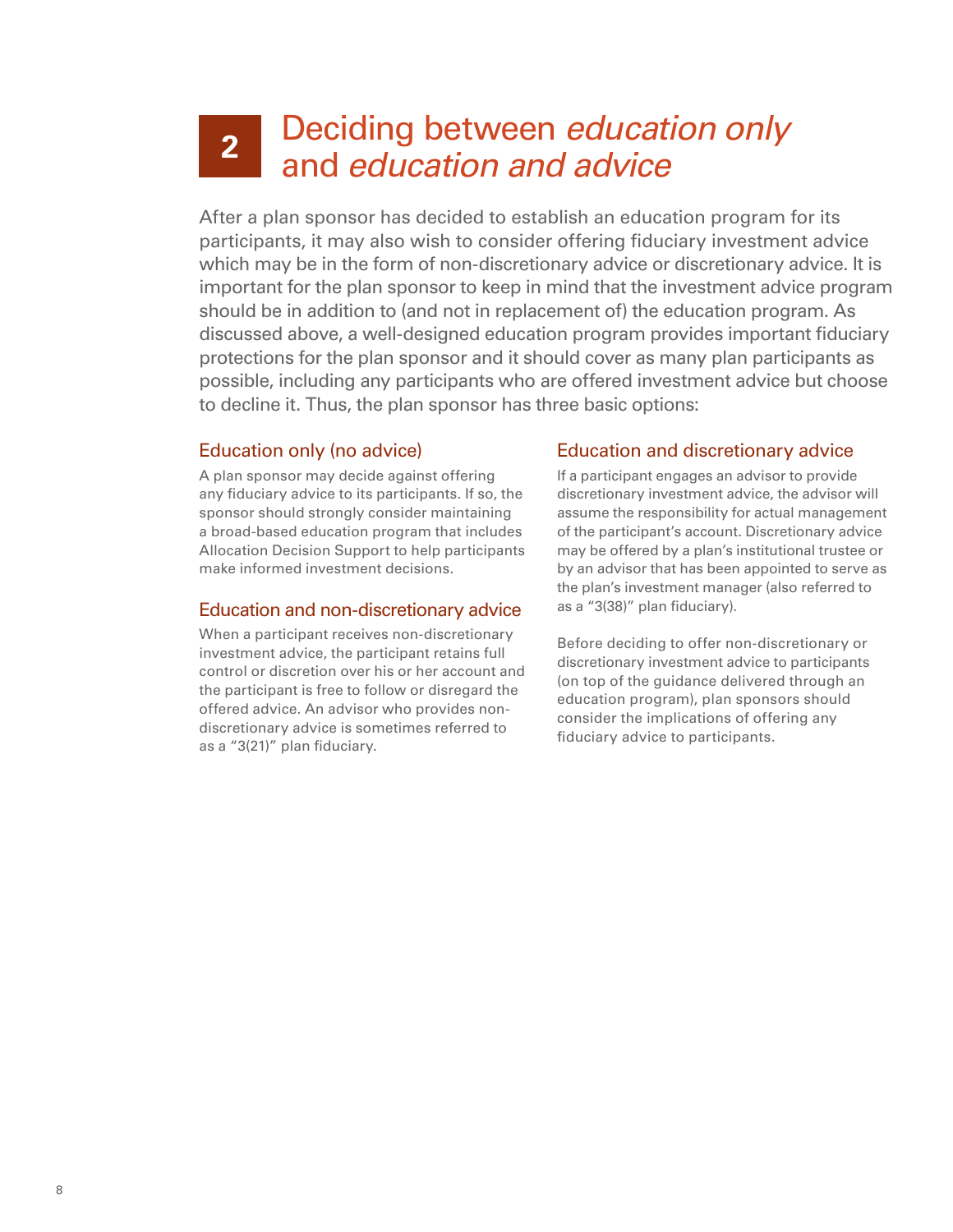# Deciding between *education only* and *education and advice* **2**

After a plan sponsor has decided to establish an education program for its participants, it may also wish to consider offering fiduciary investment advice which may be in the form of non-discretionary advice or discretionary advice. It is important for the plan sponsor to keep in mind that the investment advice program should be in addition to (and not in replacement of) the education program. As discussed above, a well-designed education program provides important fiduciary protections for the plan sponsor and it should cover as many plan participants as possible, including any participants who are offered investment advice but choose to decline it. Thus, the plan sponsor has three basic options:

#### Education only (no advice)

A plan sponsor may decide against offering any fiduciary advice to its participants. If so, the sponsor should strongly consider maintaining a broad-based education program that includes Allocation Decision Support to help participants make informed investment decisions.

#### Education and non-discretionary advice

When a participant receives non-discretionary investment advice, the participant retains full control or discretion over his or her account and the participant is free to follow or disregard the offered advice. An advisor who provides nondiscretionary advice is sometimes referred to as a "3(21)" plan fiduciary.

#### Education and discretionary advice

If a participant engages an advisor to provide discretionary investment advice, the advisor will assume the responsibility for actual management of the participant's account. Discretionary advice may be offered by a plan's institutional trustee or by an advisor that has been appointed to serve as the plan's investment manager (also referred to as a "3(38)" plan fiduciary).

Before deciding to offer non-discretionary or discretionary investment advice to participants (on top of the guidance delivered through an education program), plan sponsors should consider the implications of offering any fiduciary advice to participants.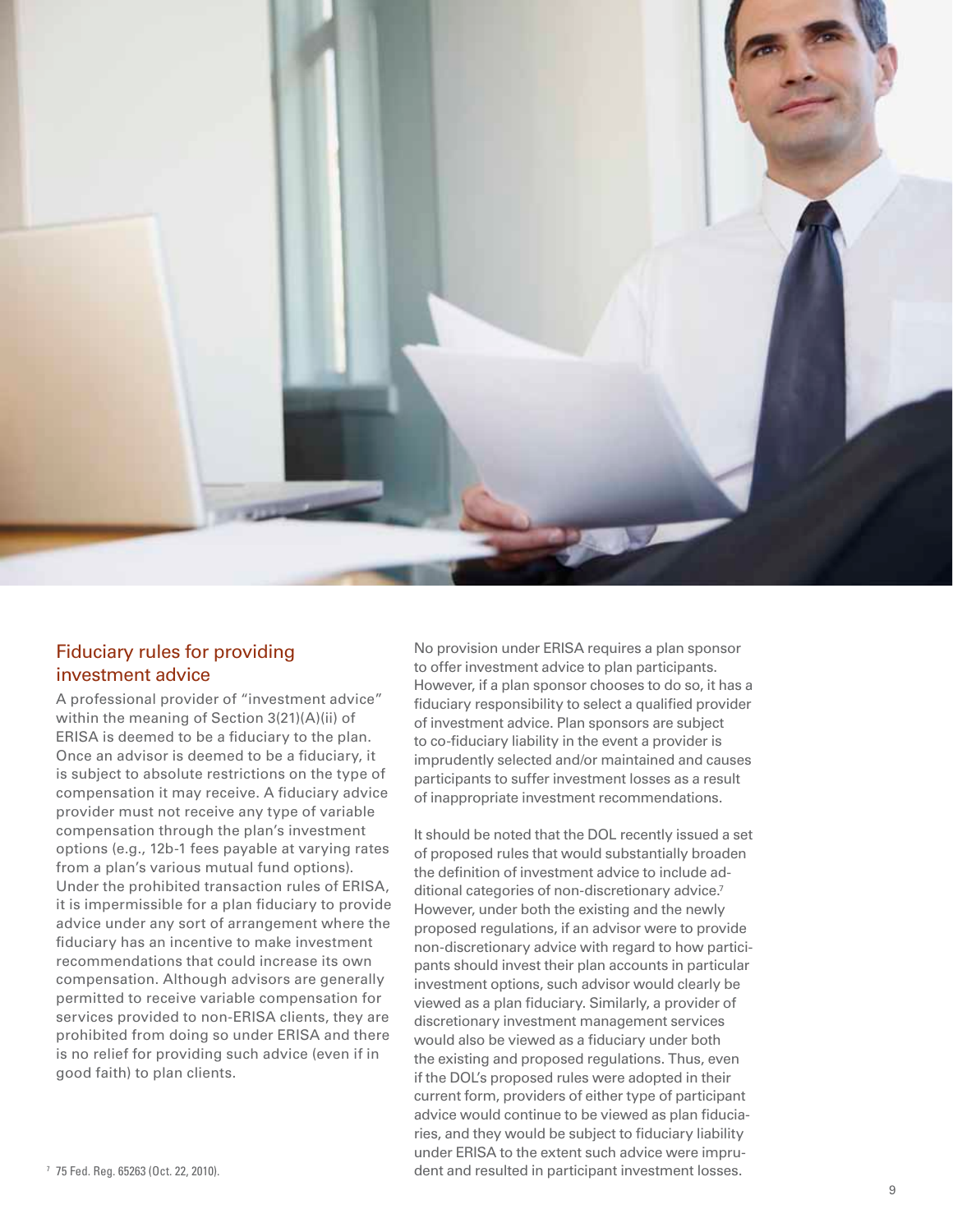

#### Fiduciary rules for providing investment advice

A professional provider of "investment advice" within the meaning of Section 3(21)(A)(ii) of ERISA is deemed to be a fiduciary to the plan. Once an advisor is deemed to be a fiduciary, it is subject to absolute restrictions on the type of compensation it may receive. A fiduciary advice provider must not receive any type of variable compensation through the plan's investment options (e.g., 12b-1 fees payable at varying rates from a plan's various mutual fund options). Under the prohibited transaction rules of ERISA, it is impermissible for a plan fiduciary to provide advice under any sort of arrangement where the fiduciary has an incentive to make investment recommendations that could increase its own compensation. Although advisors are generally permitted to receive variable compensation for services provided to non-ERISA clients, they are prohibited from doing so under ERISA and there is no relief for providing such advice (even if in good faith) to plan clients.

No provision under ERISA requires a plan sponsor to offer investment advice to plan participants. However, if a plan sponsor chooses to do so, it has a fiduciary responsibility to select a qualified provider of investment advice. Plan sponsors are subject to co-fiduciary liability in the event a provider is imprudently selected and/or maintained and causes participants to suffer investment losses as a result of inappropriate investment recommendations.

It should be noted that the DOL recently issued a set of proposed rules that would substantially broaden the definition of investment advice to include additional categories of non-discretionary advice.7 However, under both the existing and the newly proposed regulations, if an advisor were to provide non-discretionary advice with regard to how participants should invest their plan accounts in particular investment options, such advisor would clearly be viewed as a plan fiduciary. Similarly, a provider of discretionary investment management services would also be viewed as a fiduciary under both the existing and proposed regulations. Thus, even if the DOL's proposed rules were adopted in their current form, providers of either type of participant advice would continue to be viewed as plan fiduciaries, and they would be subject to fiduciary liability under ERISA to the extent such advice were imprudent and resulted in participant investment losses. <sup>7</sup> 75 Fed. Reg. 65263 (Oct. 22, 2010).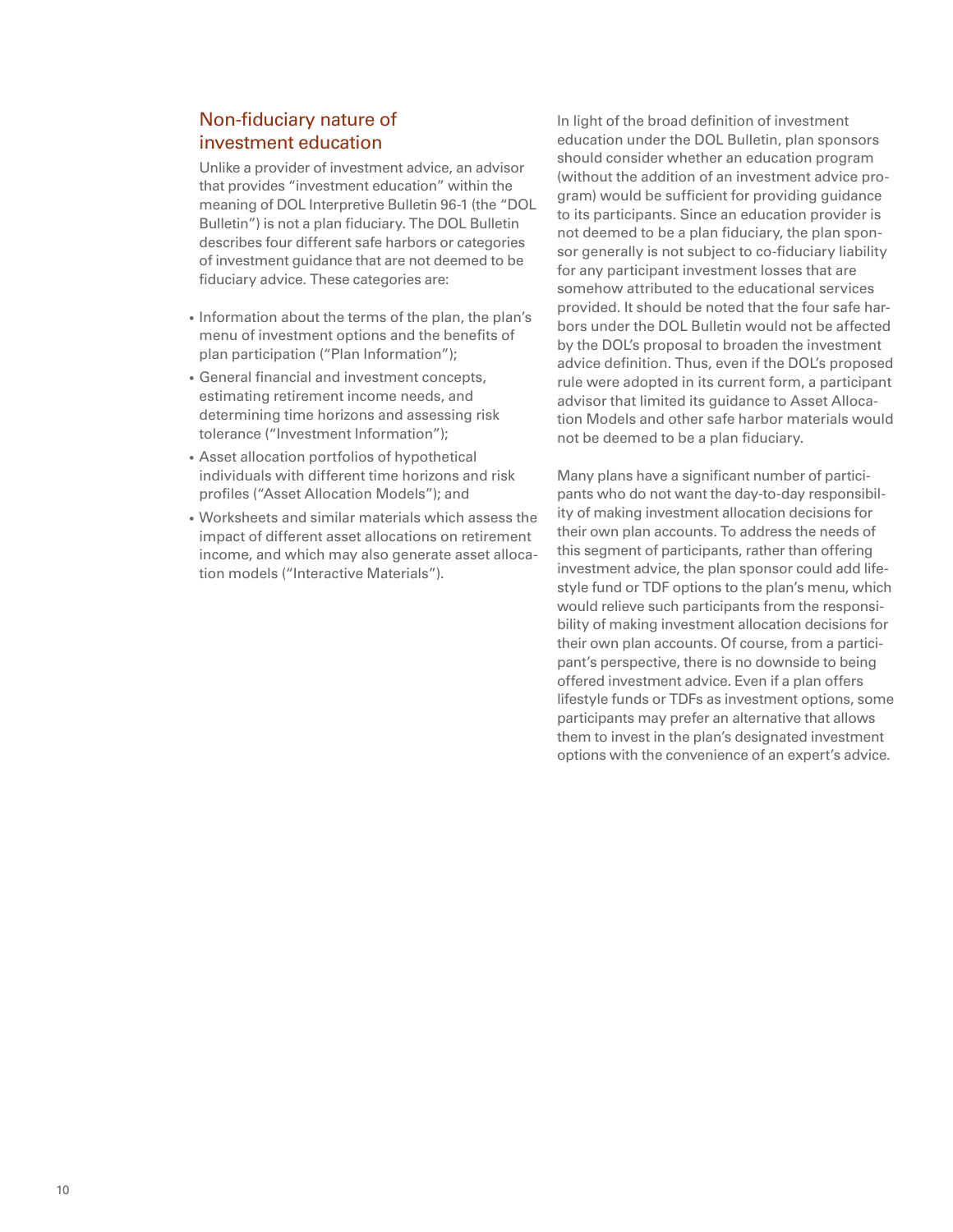### Non-fiduciary nature of investment education

Unlike a provider of investment advice, an advisor that provides "investment education" within the meaning of DOL Interpretive Bulletin 96-1 (the "DOL Bulletin") is not a plan fiduciary. The DOL Bulletin describes four different safe harbors or categories of investment guidance that are not deemed to be fiduciary advice. These categories are:

- Information about the terms of the plan, the plan's menu of investment options and the benefits of plan participation ("Plan Information");
- General financial and investment concepts, estimating retirement income needs, and determining time horizons and assessing risk tolerance ("Investment Information");
- Asset allocation portfolios of hypothetical individuals with different time horizons and risk profiles ("Asset Allocation Models"); and
- Worksheets and similar materials which assess the impact of different asset allocations on retirement income, and which may also generate asset allocation models ("Interactive Materials").

In light of the broad definition of investment education under the DOL Bulletin, plan sponsors should consider whether an education program (without the addition of an investment advice program) would be sufficient for providing guidance to its participants. Since an education provider is not deemed to be a plan fiduciary, the plan sponsor generally is not subject to co-fiduciary liability for any participant investment losses that are somehow attributed to the educational services provided. It should be noted that the four safe harbors under the DOL Bulletin would not be affected by the DOL's proposal to broaden the investment advice definition. Thus, even if the DOL's proposed rule were adopted in its current form, a participant advisor that limited its guidance to Asset Allocation Models and other safe harbor materials would not be deemed to be a plan fiduciary.

Many plans have a significant number of participants who do not want the day-to-day responsibility of making investment allocation decisions for their own plan accounts. To address the needs of this segment of participants, rather than offering investment advice, the plan sponsor could add lifestyle fund or TDF options to the plan's menu, which would relieve such participants from the responsibility of making investment allocation decisions for their own plan accounts. Of course, from a participant's perspective, there is no downside to being offered investment advice. Even if a plan offers lifestyle funds or TDFs as investment options, some participants may prefer an alternative that allows them to invest in the plan's designated investment options with the convenience of an expert's advice.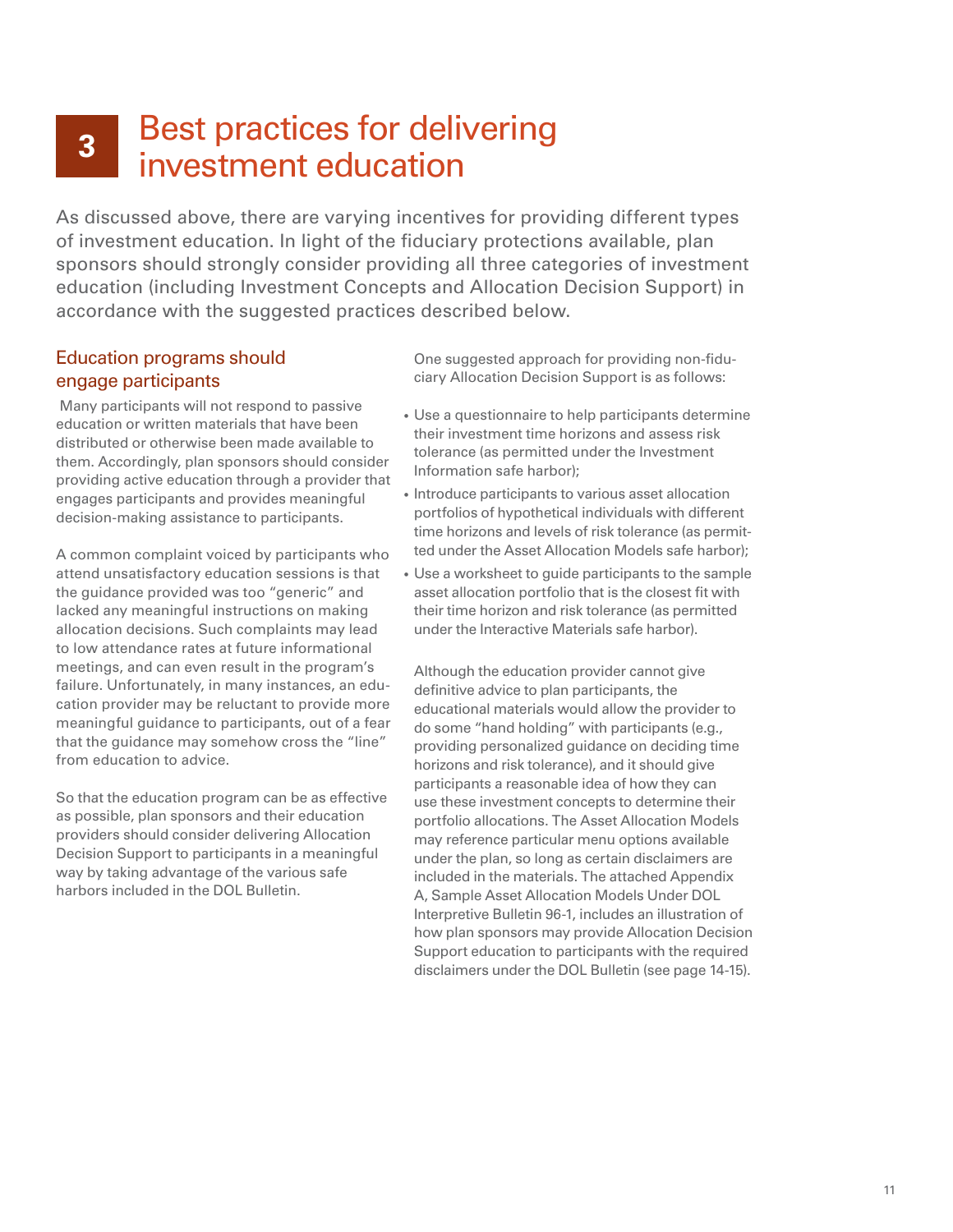# Best practices for delivering investment education **3**

As discussed above, there are varying incentives for providing different types of investment education. In light of the fiduciary protections available, plan sponsors should strongly consider providing all three categories of investment education (including Investment Concepts and Allocation Decision Support) in accordance with the suggested practices described below.

#### Education programs should engage participants

 Many participants will not respond to passive education or written materials that have been distributed or otherwise been made available to them. Accordingly, plan sponsors should consider providing active education through a provider that engages participants and provides meaningful decision-making assistance to participants.

A common complaint voiced by participants who attend unsatisfactory education sessions is that the guidance provided was too "generic" and lacked any meaningful instructions on making allocation decisions. Such complaints may lead to low attendance rates at future informational meetings, and can even result in the program's failure. Unfortunately, in many instances, an education provider may be reluctant to provide more meaningful guidance to participants, out of a fear that the guidance may somehow cross the "line" from education to advice.

So that the education program can be as effective as possible, plan sponsors and their education providers should consider delivering Allocation Decision Support to participants in a meaningful way by taking advantage of the various safe harbors included in the DOL Bulletin.

One suggested approach for providing non-fiduciary Allocation Decision Support is as follows:

- Use a questionnaire to help participants determine their investment time horizons and assess risk tolerance (as permitted under the Investment Information safe harbor);
- Introduce participants to various asset allocation portfolios of hypothetical individuals with different time horizons and levels of risk tolerance (as permitted under the Asset Allocation Models safe harbor);
- Use a worksheet to guide participants to the sample asset allocation portfolio that is the closest fit with their time horizon and risk tolerance (as permitted under the Interactive Materials safe harbor).

Although the education provider cannot give definitive advice to plan participants, the educational materials would allow the provider to do some "hand holding" with participants (e.g., providing personalized guidance on deciding time horizons and risk tolerance), and it should give participants a reasonable idea of how they can use these investment concepts to determine their portfolio allocations. The Asset Allocation Models may reference particular menu options available under the plan, so long as certain disclaimers are included in the materials. The attached Appendix A, Sample Asset Allocation Models Under DOL Interpretive Bulletin 96-1, includes an illustration of how plan sponsors may provide Allocation Decision Support education to participants with the required disclaimers under the DOL Bulletin (see page 14-15).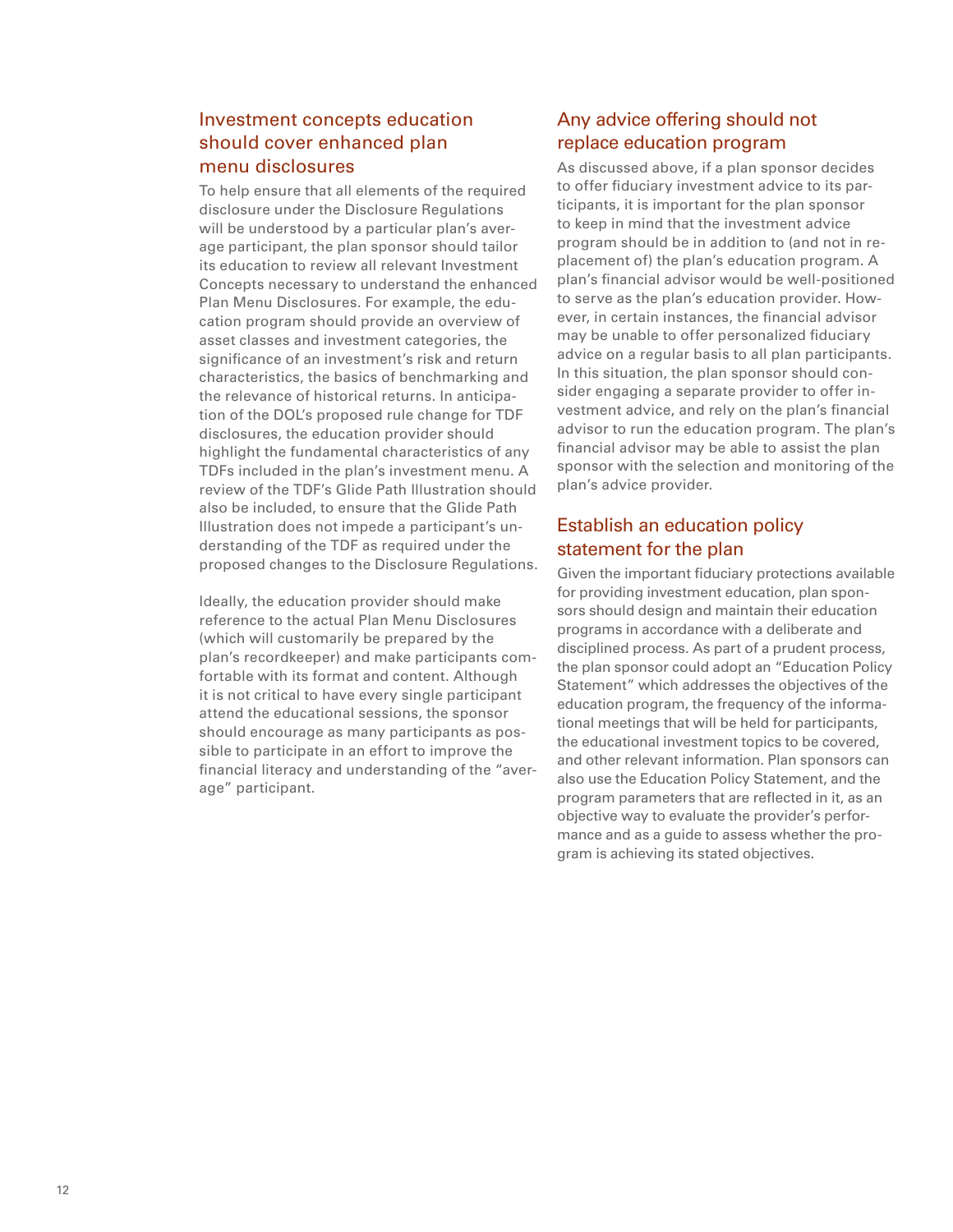#### Investment concepts education should cover enhanced plan menu disclosures

To help ensure that all elements of the required disclosure under the Disclosure Regulations will be understood by a particular plan's average participant, the plan sponsor should tailor its education to review all relevant Investment Concepts necessary to understand the enhanced Plan Menu Disclosures. For example, the education program should provide an overview of asset classes and investment categories, the significance of an investment's risk and return characteristics, the basics of benchmarking and the relevance of historical returns. In anticipation of the DOL's proposed rule change for TDF disclosures, the education provider should highlight the fundamental characteristics of any TDFs included in the plan's investment menu. A review of the TDF's Glide Path Illustration should also be included, to ensure that the Glide Path Illustration does not impede a participant's understanding of the TDF as required under the proposed changes to the Disclosure Regulations.

Ideally, the education provider should make reference to the actual Plan Menu Disclosures (which will customarily be prepared by the plan's recordkeeper) and make participants comfortable with its format and content. Although it is not critical to have every single participant attend the educational sessions, the sponsor should encourage as many participants as possible to participate in an effort to improve the financial literacy and understanding of the "average" participant.

#### Any advice offering should not replace education program

As discussed above, if a plan sponsor decides to offer fiduciary investment advice to its participants, it is important for the plan sponsor to keep in mind that the investment advice program should be in addition to (and not in replacement of) the plan's education program. A plan's financial advisor would be well-positioned to serve as the plan's education provider. However, in certain instances, the financial advisor may be unable to offer personalized fiduciary advice on a regular basis to all plan participants. In this situation, the plan sponsor should consider engaging a separate provider to offer investment advice, and rely on the plan's financial advisor to run the education program. The plan's financial advisor may be able to assist the plan sponsor with the selection and monitoring of the plan's advice provider.

### Establish an education policy statement for the plan

Given the important fiduciary protections available for providing investment education, plan sponsors should design and maintain their education programs in accordance with a deliberate and disciplined process. As part of a prudent process, the plan sponsor could adopt an "Education Policy Statement" which addresses the objectives of the education program, the frequency of the informational meetings that will be held for participants, the educational investment topics to be covered, and other relevant information. Plan sponsors can also use the Education Policy Statement, and the program parameters that are reflected in it, as an objective way to evaluate the provider's performance and as a guide to assess whether the program is achieving its stated objectives.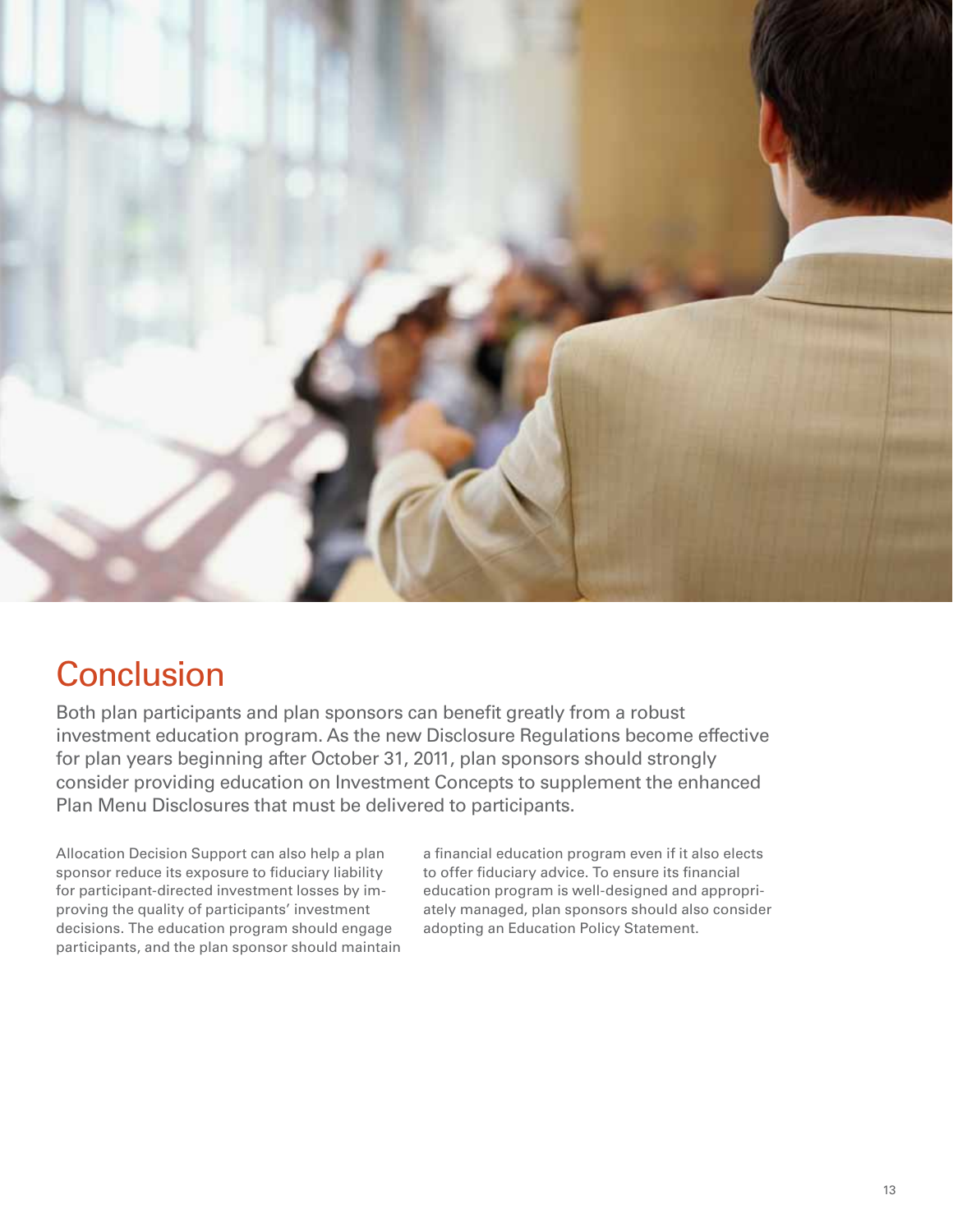

# **Conclusion**

Both plan participants and plan sponsors can benefit greatly from a robust investment education program. As the new Disclosure Regulations become effective for plan years beginning after October 31, 2011, plan sponsors should strongly consider providing education on Investment Concepts to supplement the enhanced Plan Menu Disclosures that must be delivered to participants.

Allocation Decision Support can also help a plan sponsor reduce its exposure to fiduciary liability for participant-directed investment losses by improving the quality of participants' investment decisions. The education program should engage participants, and the plan sponsor should maintain a financial education program even if it also elects to offer fiduciary advice. To ensure its financial education program is well-designed and appropriately managed, plan sponsors should also consider adopting an Education Policy Statement.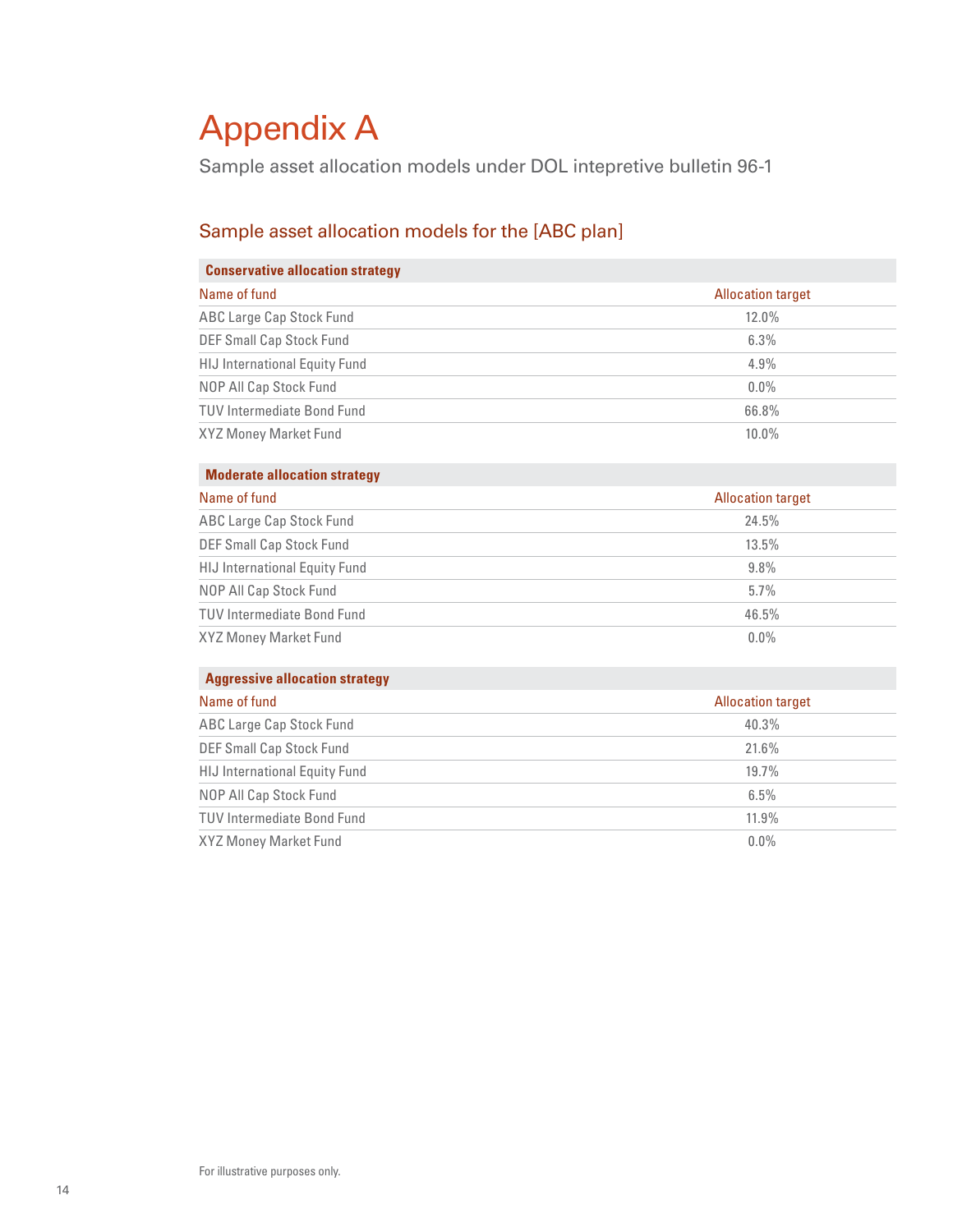# Appendix A

Sample asset allocation models under DOL intepretive bulletin 96-1

# Sample asset allocation models for the [ABC plan]

#### **Conservative allocation strategy**

| Name of fund                         | <b>Allocation target</b> |
|--------------------------------------|--------------------------|
| <b>ABC Large Cap Stock Fund</b>      | $12.0\%$                 |
| <b>DEF Small Cap Stock Fund</b>      | 6.3%                     |
| <b>HIJ International Equity Fund</b> | 4.9%                     |
| NOP All Cap Stock Fund               | $0.0\%$                  |
| <b>TUV Intermediate Bond Fund</b>    | 66.8%                    |
| XYZ Money Market Fund                | $10.0\%$                 |

#### **Moderate allocation strategy**

| Name of fund                         | <b>Allocation target</b> |
|--------------------------------------|--------------------------|
| <b>ABC Large Cap Stock Fund</b>      | 24.5%                    |
| DEF Small Cap Stock Fund             | 13.5%                    |
| <b>HIJ International Equity Fund</b> | $9.8\%$                  |
| NOP All Cap Stock Fund               | $5.7\%$                  |
| <b>TUV Intermediate Bond Fund</b>    | 46.5%                    |
| XYZ Money Market Fund                | $0.0\%$                  |

#### **Aggressive allocation strategy**

| Name of fund                         | <b>Allocation target</b> |
|--------------------------------------|--------------------------|
| <b>ABC Large Cap Stock Fund</b>      | 40.3%                    |
| <b>DEF Small Cap Stock Fund</b>      | 21.6%                    |
| <b>HIJ International Equity Fund</b> | 19.7%                    |
| NOP All Cap Stock Fund               | 6.5%                     |
| <b>TUV Intermediate Bond Fund</b>    | 11.9%                    |
| XYZ Money Market Fund                | $0.0\%$                  |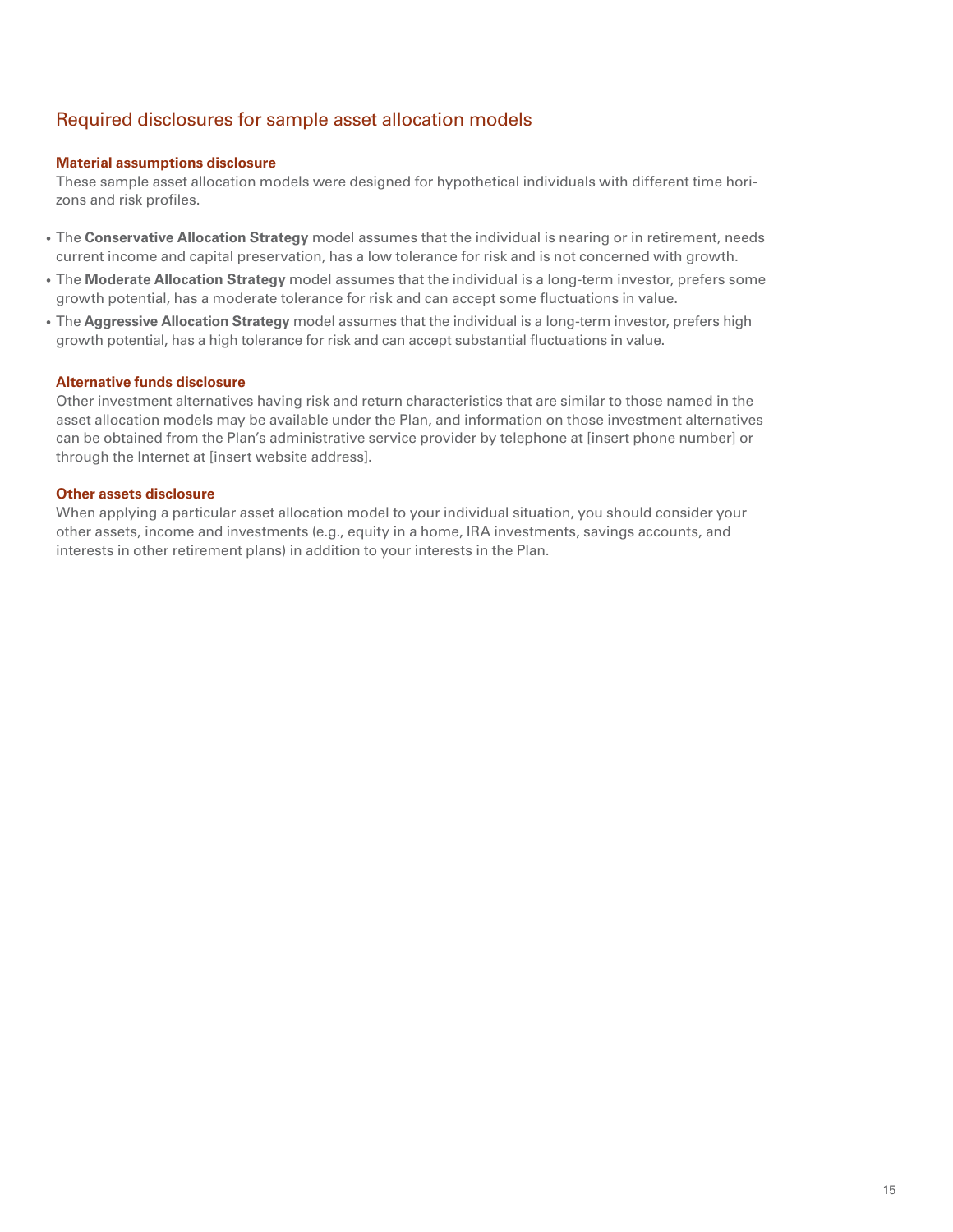### Required disclosures for sample asset allocation models

#### **Material assumptions disclosure**

These sample asset allocation models were designed for hypothetical individuals with different time horizons and risk profiles.

- The **Conservative Allocation Strategy** model assumes that the individual is nearing or in retirement, needs current income and capital preservation, has a low tolerance for risk and is not concerned with growth.
- The **Moderate Allocation Strategy** model assumes that the individual is a long-term investor, prefers some growth potential, has a moderate tolerance for risk and can accept some fluctuations in value.
- The **Aggressive Allocation Strategy** model assumes that the individual is a long-term investor, prefers high growth potential, has a high tolerance for risk and can accept substantial fluctuations in value.

#### **Alternative funds disclosure**

Other investment alternatives having risk and return characteristics that are similar to those named in the asset allocation models may be available under the Plan, and information on those investment alternatives can be obtained from the Plan's administrative service provider by telephone at [insert phone number] or through the Internet at [insert website address].

#### **Other assets disclosure**

When applying a particular asset allocation model to your individual situation, you should consider your other assets, income and investments (e.g., equity in a home, IRA investments, savings accounts, and interests in other retirement plans) in addition to your interests in the Plan.